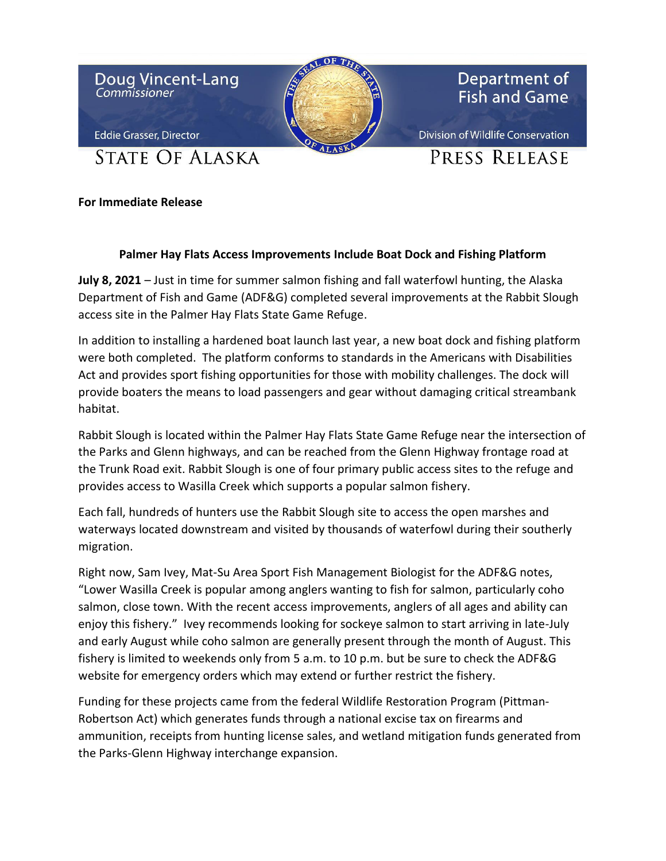

## **For Immediate Release**

## **Palmer Hay Flats Access Improvements Include Boat Dock and Fishing Platform**

**July 8, 2021** – Just in time for summer salmon fishing and fall waterfowl hunting, the Alaska Department of Fish and Game (ADF&G) completed several improvements at the Rabbit Slough access site in the Palmer Hay Flats State Game Refuge.

In addition to installing a hardened boat launch last year, a new boat dock and fishing platform were both completed. The platform conforms to standards in the Americans with Disabilities Act and provides sport fishing opportunities for those with mobility challenges. The dock will provide boaters the means to load passengers and gear without damaging critical streambank habitat.

Rabbit Slough is located within the Palmer Hay Flats State Game Refuge near the intersection of the Parks and Glenn highways, and can be reached from the Glenn Highway frontage road at the Trunk Road exit. Rabbit Slough is one of four primary public access sites to the refuge and provides access to Wasilla Creek which supports a popular salmon fishery.

Each fall, hundreds of hunters use the Rabbit Slough site to access the open marshes and waterways located downstream and visited by thousands of waterfowl during their southerly migration.

Right now, Sam Ivey, Mat-Su Area Sport Fish Management Biologist for the ADF&G notes, "Lower Wasilla Creek is popular among anglers wanting to fish for salmon, particularly coho salmon, close town. With the recent access improvements, anglers of all ages and ability can enjoy this fishery." Ivey recommends looking for sockeye salmon to start arriving in late-July and early August while coho salmon are generally present through the month of August. This fishery is limited to weekends only from 5 a.m. to 10 p.m. but be sure to check the ADF&G website for emergency orders which may extend or further restrict the fishery.

Funding for these projects came from the federal Wildlife Restoration Program (Pittman-Robertson Act) which generates funds through a national excise tax on firearms and ammunition, receipts from hunting license sales, and wetland mitigation funds generated from the Parks-Glenn Highway interchange expansion.